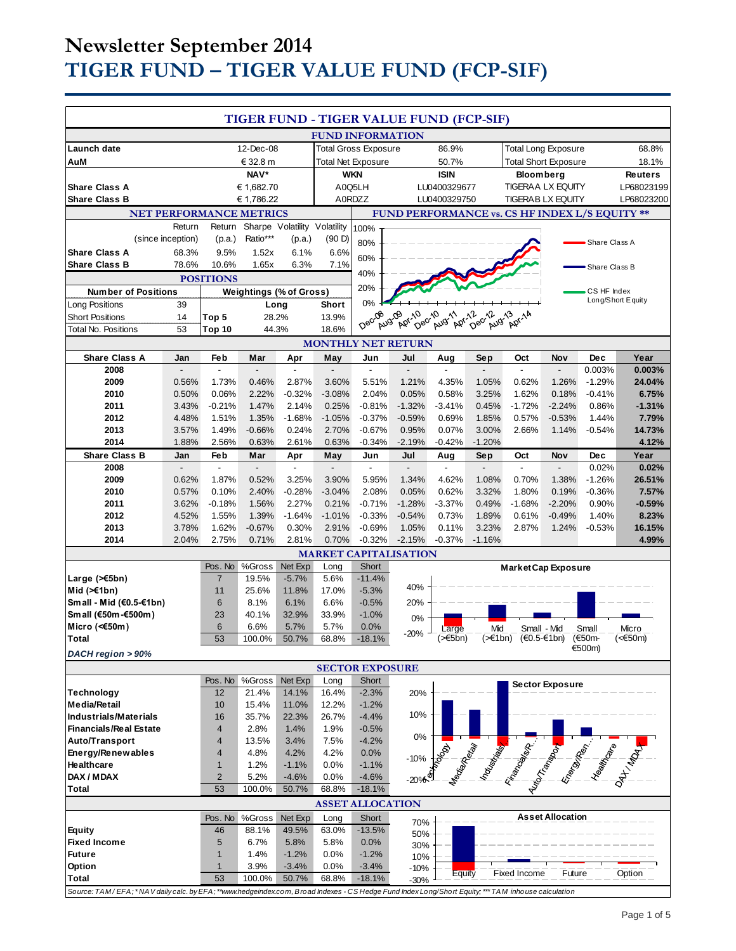# **Newsletter September 2014 TIGER FUND – TIGER VALUE FUND (FCP-SIF)**

| <b>TIGER FUND - TIGER VALUE FUND (FCP-SIF)</b>                                                                                                     |                             |                                 |                                |                             |                       |                                                |                              |                                   |                             |                            |                          |                      |                   |
|----------------------------------------------------------------------------------------------------------------------------------------------------|-----------------------------|---------------------------------|--------------------------------|-----------------------------|-----------------------|------------------------------------------------|------------------------------|-----------------------------------|-----------------------------|----------------------------|--------------------------|----------------------|-------------------|
|                                                                                                                                                    |                             |                                 |                                |                             |                       |                                                | <b>FUND INFORMATION</b>      |                                   |                             |                            |                          |                      |                   |
| Launch date                                                                                                                                        | 12-Dec-08                   |                                 |                                | <b>Total Gross Exposure</b> |                       |                                                | 86.9%                        |                                   | <b>Total Long Exposure</b>  |                            |                          | 68.8%                |                   |
| AuM<br>€ 32.8 m                                                                                                                                    |                             |                                 | Total Net Exposure             |                             |                       | 50.7%                                          |                              |                                   | <b>Total Short Exposure</b> |                            | 18.1%                    |                      |                   |
| NAV*                                                                                                                                               |                             |                                 | <b>WKN</b>                     |                             |                       | <b>ISIN</b>                                    |                              | Bloomberg                         |                             |                            | <b>Reuters</b>           |                      |                   |
| <b>Share Class A</b><br>€ 1,682.70                                                                                                                 |                             |                                 | A0Q5LH<br>A0RDZZ               |                             |                       | LU0400329677                                   |                              | <b>TIGERAA LX EQUITY</b>          |                             |                            | LP68023199               |                      |                   |
| <b>Share Class B</b>                                                                                                                               |                             |                                 | € 1,786.22                     |                             |                       |                                                |                              | LU0400329750                      |                             |                            | <b>TIGERAB LX EQUITY</b> |                      | LP68023200        |
| <b>NET PERFORMANCE METRICS</b><br>Sharpe Volatility Volatility                                                                                     |                             |                                 |                                |                             |                       | FUND PERFORMANCE vs. CS HF INDEX L/S EQUITY ** |                              |                                   |                             |                            |                          |                      |                   |
|                                                                                                                                                    | Return<br>(since inception) | Return<br>(p.a.)                | Ratio***                       | (p.a.)                      | (90 D)                | 100%                                           |                              |                                   |                             |                            |                          |                      |                   |
| <b>Share Class A</b>                                                                                                                               | 68.3%                       | 9.5%                            | 1.52x                          | 6.1%                        | 6.6%                  | 80%                                            |                              |                                   |                             |                            |                          | Share Class A        |                   |
| <b>Share Class B</b>                                                                                                                               | 78.6%                       | 10.6%                           | 1.65x                          | 6.3%                        | 7.1%                  | 60%                                            |                              |                                   |                             |                            |                          | Share Class B        |                   |
|                                                                                                                                                    |                             | <b>POSITIONS</b>                |                                |                             |                       | 40%                                            |                              |                                   |                             |                            |                          |                      |                   |
| <b>Number of Positions</b>                                                                                                                         |                             |                                 | <b>Weightings (% of Gross)</b> |                             |                       | 20%                                            |                              |                                   |                             |                            |                          | CS HF Index          |                   |
| <b>Long Positions</b>                                                                                                                              | 39                          |                                 | Long                           |                             | Short                 | 0%                                             |                              |                                   |                             |                            |                          |                      | Long/Short Equity |
| <b>Short Positions</b>                                                                                                                             | 14                          | Top 5                           | 28.2%                          |                             | 13.9%                 | Decros                                         | Apr-10<br>Dec-10<br>Aug-09   | Aug Apr Dec Aug Apr 14            |                             |                            |                          |                      |                   |
| Total No. Positions                                                                                                                                | 53                          | Top 10                          | 44.3%                          |                             | 18.6%                 |                                                |                              |                                   |                             |                            |                          |                      |                   |
|                                                                                                                                                    |                             |                                 |                                |                             |                       |                                                | <b>MONTHLY NET RETURN</b>    |                                   |                             |                            |                          |                      |                   |
| <b>Share Class A</b><br>2008                                                                                                                       | Jan                         | Feb                             | Mar                            | Apr                         | May                   | Jun                                            | Jul                          | Aug                               | Sep                         | Oct                        | Nov                      | <b>Dec</b><br>0.003% | Year<br>0.003%    |
| 2009                                                                                                                                               | 0.56%                       | 1.73%                           | 0.46%                          | 2.87%                       | 3.60%                 | 5.51%                                          | 1.21%                        | 4.35%                             | 1.05%                       | 0.62%                      | 1.26%                    | $-1.29%$             | 24.04%            |
| 2010                                                                                                                                               | 0.50%                       | 0.06%                           | 2.22%                          | $-0.32%$                    | $-3.08%$              | 2.04%                                          | 0.05%                        | 0.58%                             | 3.25%                       | 1.62%                      | 0.18%                    | $-0.41%$             | 6.75%             |
| 2011                                                                                                                                               | 3.43%                       | $-0.21%$                        | 1.47%                          | 2.14%                       | 0.25%                 | $-0.81%$                                       | $-1.32%$                     | $-3.41%$                          | 0.45%                       | $-1.72%$                   | $-2.24%$                 | 0.86%                | $-1.31%$          |
| 2012                                                                                                                                               | 4.48%                       | 1.51%                           | 1.35%                          | $-1.68%$                    | $-1.05%$              | $-0.37%$                                       | $-0.59%$                     | 0.69%                             | 1.85%                       | 0.57%                      | $-0.53%$                 | 1.44%                | 7.79%             |
| 2013                                                                                                                                               | 3.57%                       | 1.49%                           | $-0.66%$                       | 0.24%                       | 2.70%                 | $-0.67%$                                       | 0.95%                        | 0.07%                             | 3.00%                       | 2.66%                      | 1.14%                    | $-0.54%$             | 14.73%            |
| 2014                                                                                                                                               | 1.88%                       | 2.56%                           | 0.63%                          | 2.61%                       | 0.63%                 | $-0.34%$                                       | $-2.19%$                     | $-0.42%$                          | $-1.20%$                    |                            |                          |                      | 4.12%             |
| <b>Share Class B</b><br>2008                                                                                                                       | Jan                         | Feb<br>$\overline{\phantom{a}}$ | Mar                            | Apr<br>$\overline{a}$       | May<br>$\overline{a}$ | Jun                                            | Jul<br>$\overline{a}$        | Aug                               | Sep<br>$\overline{a}$       | Oct<br>$\overline{a}$      | Nov<br>$\overline{a}$    | <b>Dec</b>           | Year<br>0.02%     |
| 2009                                                                                                                                               | 0.62%                       | 1.87%                           | 0.52%                          | 3.25%                       | 3.90%                 | 5.95%                                          | 1.34%                        | $\overline{\phantom{a}}$<br>4.62% | 1.08%                       | 0.70%                      | 1.38%                    | 0.02%<br>$-1.26%$    | 26.51%            |
| 2010                                                                                                                                               | 0.57%                       | 0.10%                           | 2.40%                          | $-0.28%$                    | $-3.04%$              | 2.08%                                          | 0.05%                        | 0.62%                             | 3.32%                       | 1.80%                      | 0.19%                    | $-0.36%$             | 7.57%             |
| 2011                                                                                                                                               | 3.62%                       | $-0.18%$                        | 1.56%                          | 2.27%                       | 0.21%                 | $-0.71%$                                       | $-1.28%$                     | $-3.37%$                          | 0.49%                       | $-1.68%$                   | $-2.20%$                 | 0.90%                | $-0.59%$          |
| 2012                                                                                                                                               | 4.52%                       | 1.55%                           | 1.39%                          | $-1.64%$                    | $-1.01%$              | $-0.33%$                                       | $-0.54%$                     | 0.73%                             | 1.89%                       | 0.61%                      | $-0.49%$                 | 1.40%                | 8.23%             |
| 2013                                                                                                                                               | 3.78%                       | 1.62%                           | $-0.67%$                       | 0.30%                       | 2.91%                 | $-0.69%$                                       | 1.05%                        | 0.11%                             | 3.23%                       | 2.87%                      | 1.24%                    | $-0.53%$             | 16.15%            |
| 2014                                                                                                                                               | 2.04%                       | 2.75%                           | 0.71%                          | 2.81%                       | 0.70%                 | $-0.32%$                                       | $-2.15%$                     | $-0.37%$                          | $-1.16%$                    |                            |                          |                      | 4.99%             |
|                                                                                                                                                    |                             | Pos. No                         | %Gross                         | Net Exp                     | Long                  | <b>Short</b>                                   | <b>MARKET CAPITALISATION</b> |                                   |                             |                            |                          |                      |                   |
| Large (>€5bn)                                                                                                                                      |                             | $\overline{7}$                  | 19.5%                          | $-5.7%$                     | 5.6%                  | $-11.4%$                                       |                              |                                   |                             | <b>Market Cap Exposure</b> |                          |                      |                   |
| Mid (≻€1bn)                                                                                                                                        |                             | 11                              | 25.6%                          | 11.8%                       | 17.0%                 | $-5.3%$                                        | 40%                          |                                   |                             |                            |                          |                      |                   |
| Small - Mid (€0.5-€1bn)                                                                                                                            |                             | 6                               | 8.1%                           | 6.1%                        | 6.6%                  | $-0.5%$                                        | 20%                          |                                   |                             |                            |                          |                      |                   |
| Small (€50m-€500m)                                                                                                                                 |                             | 23                              | 40.1%                          | 32.9%                       | 33.9%                 | $-1.0%$                                        | 0%                           |                                   |                             |                            |                          |                      |                   |
| Micro (< $60$ m)                                                                                                                                   |                             | 6                               | 6.6%                           | 5.7%                        | 5.7%                  | 0.0%                                           | $-20%$                       | Large                             | Mid                         | Small - Mid                |                          | Small                | Micro             |
| <b>Total</b>                                                                                                                                       |                             | 53                              | 100.0%                         | 50.7%                       | 68.8%                 | $-18.1%$                                       |                              | (>€5bn)                           | (>€1bn)                     |                            | (€0.5-€1bn)              | (€50m-<br>€500m)     | <€50m)            |
| DACH region > 90%<br><b>SECTOR EXPOSURE</b>                                                                                                        |                             |                                 |                                |                             |                       |                                                |                              |                                   |                             |                            |                          |                      |                   |
|                                                                                                                                                    |                             |                                 | Pos. No %Gross                 | Net Exp                     | Long                  | Short                                          |                              |                                   |                             |                            |                          |                      |                   |
| <b>Technology</b>                                                                                                                                  |                             | 12                              | 21.4%                          | 14.1%                       | 16.4%                 | $-2.3%$                                        | 20%                          |                                   |                             |                            | <b>Sector Exposure</b>   |                      |                   |
| <b>Media/Retail</b>                                                                                                                                |                             | 10                              | 15.4%                          | 11.0%                       | 12.2%                 | $-1.2%$                                        |                              |                                   |                             |                            |                          |                      |                   |
| <b>Industrials/Materials</b>                                                                                                                       |                             | 16                              | 35.7%                          | 22.3%                       | 26.7%                 | $-4.4%$                                        | 10%                          |                                   |                             |                            |                          |                      |                   |
| <b>Financials/Real Estate</b>                                                                                                                      |                             | 4                               | 2.8%                           | 1.4%                        | 1.9%                  | $-0.5%$                                        | 0%                           |                                   |                             |                            |                          |                      |                   |
| <b>Auto/Transport</b>                                                                                                                              |                             | $\overline{4}$                  | 13.5%                          | 3.4%                        | 7.5%                  | $-4.2%$                                        |                              |                                   |                             |                            |                          |                      |                   |
| Energy/Renewables<br>Healthcare                                                                                                                    |                             | 4<br>$\mathbf{1}$               | 4.8%<br>1.2%                   | 4.2%                        | 4.2%                  | 0.0%                                           | $-10%$                       |                                   |                             |                            |                          |                      |                   |
| DAX / MDAX                                                                                                                                         |                             | $\overline{2}$                  | 5.2%                           | $-1.1%$<br>$-4.6%$          | 0.0%<br>0.0%          | $-1.1%$<br>$-4.6%$                             |                              |                                   |                             | <b>CONTRACTOR REPAIRS</b>  |                          |                      |                   |
| Total                                                                                                                                              |                             | 53                              | 100.0%                         | 50.7%                       | 68.8%                 | $-18.1%$                                       | $-20%$                       |                                   |                             |                            |                          |                      |                   |
| <b>ASSET ALLOCATION</b>                                                                                                                            |                             |                                 |                                |                             |                       |                                                |                              |                                   |                             |                            |                          |                      |                   |
|                                                                                                                                                    |                             |                                 | Pos. No %Gross                 | Net Exp                     | Long                  | Short                                          | 70%                          |                                   |                             |                            | <b>Asset Allocation</b>  |                      |                   |
| Equity                                                                                                                                             |                             | 46                              | 88.1%                          | 49.5%                       | 63.0%                 | $-13.5%$                                       | 50%                          |                                   |                             |                            |                          |                      |                   |
| <b>Fixed Income</b>                                                                                                                                |                             | 5                               | 6.7%                           | 5.8%                        | 5.8%                  | 0.0%                                           | 30%                          |                                   |                             |                            |                          |                      |                   |
| <b>Future</b>                                                                                                                                      |                             | $\mathbf{1}$                    | 1.4%                           | $-1.2%$                     | 0.0%                  | $-1.2%$                                        | 10%                          |                                   |                             |                            |                          |                      |                   |
| Option<br><b>Total</b>                                                                                                                             |                             | $\mathbf{1}$<br>53              | 3.9%<br>100.0%                 | $-3.4%$<br>50.7%            | 0.0%<br>68.8%         | $-3.4%$<br>$-18.1%$                            | $-10%$                       | Equity                            |                             | Fixed Income               | Future                   |                      | Option            |
| Source: TAM/EFA; *NAV daily calc. by EFA; **www.hedgeindex.com, Broad Indexes - CS Hedge Fund Index Long/Short Equity; *** TAM inhouse calculation |                             |                                 |                                |                             |                       |                                                | $-30%$                       |                                   |                             |                            |                          |                      |                   |
|                                                                                                                                                    |                             |                                 |                                |                             |                       |                                                |                              |                                   |                             |                            |                          |                      |                   |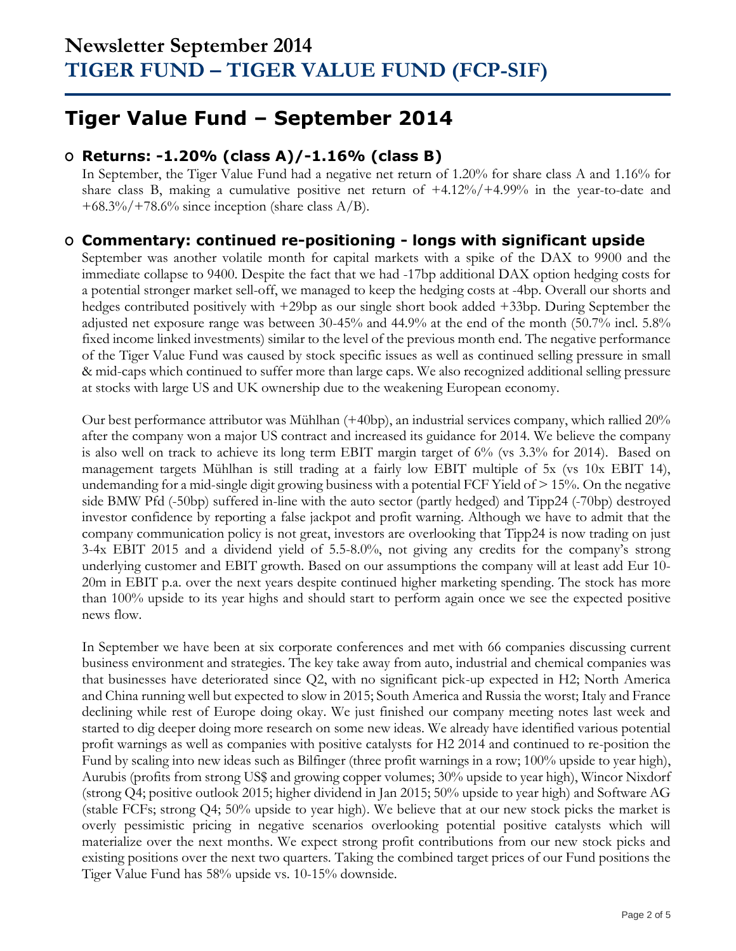## **Tiger Value Fund – September 2014**

## **O Returns: -1.20% (class A)/-1.16% (class B)**

In September, the Tiger Value Fund had a negative net return of 1.20% for share class A and 1.16% for share class B, making a cumulative positive net return of +4.12%/+4.99% in the year-to-date and  $+68.3\%/+78.6\%$  since inception (share class A/B).

### **O Commentary: continued re-positioning - longs with significant upside**

September was another volatile month for capital markets with a spike of the DAX to 9900 and the immediate collapse to 9400. Despite the fact that we had -17bp additional DAX option hedging costs for a potential stronger market sell-off, we managed to keep the hedging costs at -4bp. Overall our shorts and hedges contributed positively with +29bp as our single short book added +33bp. During September the adjusted net exposure range was between 30-45% and 44.9% at the end of the month (50.7% incl. 5.8% fixed income linked investments) similar to the level of the previous month end. The negative performance of the Tiger Value Fund was caused by stock specific issues as well as continued selling pressure in small & mid-caps which continued to suffer more than large caps. We also recognized additional selling pressure at stocks with large US and UK ownership due to the weakening European economy.

Our best performance attributor was Mühlhan (+40bp), an industrial services company, which rallied 20% after the company won a major US contract and increased its guidance for 2014. We believe the company is also well on track to achieve its long term EBIT margin target of 6% (vs 3.3% for 2014). Based on management targets Mühlhan is still trading at a fairly low EBIT multiple of 5x (vs 10x EBIT 14), undemanding for a mid-single digit growing business with a potential FCF Yield of  $> 15%$ . On the negative side BMW Pfd (-50bp) suffered in-line with the auto sector (partly hedged) and Tipp24 (-70bp) destroyed investor confidence by reporting a false jackpot and profit warning. Although we have to admit that the company communication policy is not great, investors are overlooking that Tipp24 is now trading on just 3-4x EBIT 2015 and a dividend yield of 5.5-8.0%, not giving any credits for the company's strong underlying customer and EBIT growth. Based on our assumptions the company will at least add Eur 10- 20m in EBIT p.a. over the next years despite continued higher marketing spending. The stock has more than 100% upside to its year highs and should start to perform again once we see the expected positive news flow.

In September we have been at six corporate conferences and met with 66 companies discussing current business environment and strategies. The key take away from auto, industrial and chemical companies was that businesses have deteriorated since Q2, with no significant pick-up expected in H2; North America and China running well but expected to slow in 2015; South America and Russia the worst; Italy and France declining while rest of Europe doing okay. We just finished our company meeting notes last week and started to dig deeper doing more research on some new ideas. We already have identified various potential profit warnings as well as companies with positive catalysts for H2 2014 and continued to re-position the Fund by scaling into new ideas such as Bilfinger (three profit warnings in a row; 100% upside to year high), Aurubis (profits from strong US\$ and growing copper volumes; 30% upside to year high), Wincor Nixdorf (strong Q4; positive outlook 2015; higher dividend in Jan 2015; 50% upside to year high) and Software AG (stable FCFs; strong Q4; 50% upside to year high). We believe that at our new stock picks the market is overly pessimistic pricing in negative scenarios overlooking potential positive catalysts which will materialize over the next months. We expect strong profit contributions from our new stock picks and existing positions over the next two quarters. Taking the combined target prices of our Fund positions the Tiger Value Fund has 58% upside vs. 10-15% downside.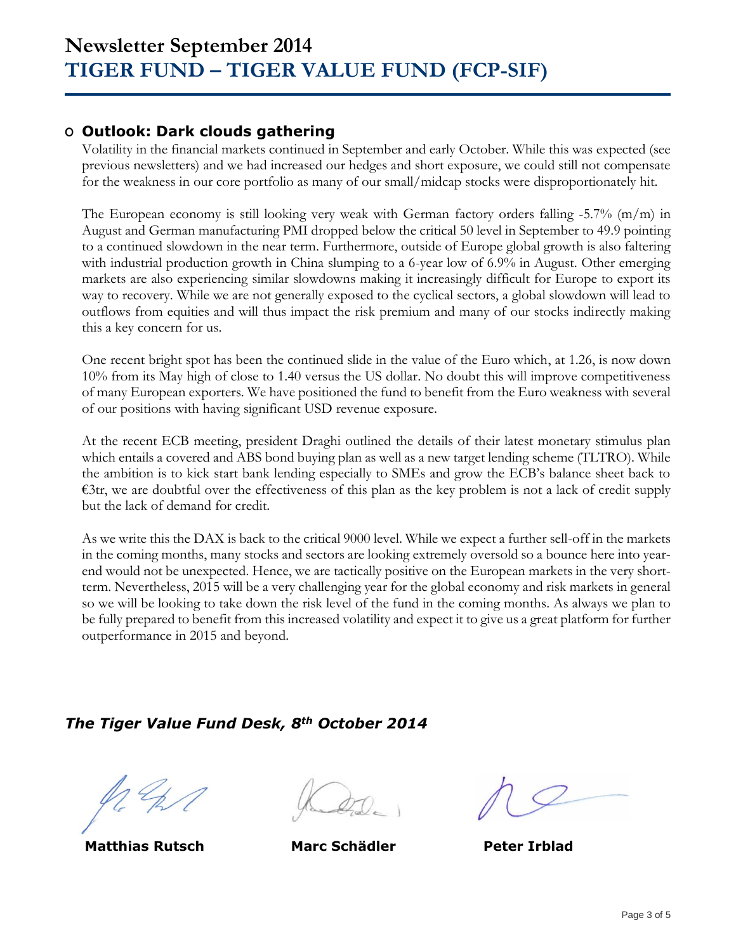### **O Outlook: Dark clouds gathering**

Volatility in the financial markets continued in September and early October. While this was expected (see previous newsletters) and we had increased our hedges and short exposure, we could still not compensate for the weakness in our core portfolio as many of our small/midcap stocks were disproportionately hit.

The European economy is still looking very weak with German factory orders falling -5.7% (m/m) in August and German manufacturing PMI dropped below the critical 50 level in September to 49.9 pointing to a continued slowdown in the near term. Furthermore, outside of Europe global growth is also faltering with industrial production growth in China slumping to a 6-year low of 6.9% in August. Other emerging markets are also experiencing similar slowdowns making it increasingly difficult for Europe to export its way to recovery. While we are not generally exposed to the cyclical sectors, a global slowdown will lead to outflows from equities and will thus impact the risk premium and many of our stocks indirectly making this a key concern for us.

One recent bright spot has been the continued slide in the value of the Euro which, at 1.26, is now down 10% from its May high of close to 1.40 versus the US dollar. No doubt this will improve competitiveness of many European exporters. We have positioned the fund to benefit from the Euro weakness with several of our positions with having significant USD revenue exposure.

At the recent ECB meeting, president Draghi outlined the details of their latest monetary stimulus plan which entails a covered and ABS bond buying plan as well as a new target lending scheme (TLTRO). While the ambition is to kick start bank lending especially to SMEs and grow the ECB's balance sheet back to €3tr, we are doubtful over the effectiveness of this plan as the key problem is not a lack of credit supply but the lack of demand for credit.

As we write this the DAX is back to the critical 9000 level. While we expect a further sell-off in the markets in the coming months, many stocks and sectors are looking extremely oversold so a bounce here into yearend would not be unexpected. Hence, we are tactically positive on the European markets in the very shortterm. Nevertheless, 2015 will be a very challenging year for the global economy and risk markets in general so we will be looking to take down the risk level of the fund in the coming months. As always we plan to be fully prepared to benefit from this increased volatility and expect it to give us a great platform for further outperformance in 2015 and beyond.

## *The Tiger Value Fund Desk, 8th October 2014*

 **Matthias Rutsch Marc Schädler Peter Irblad**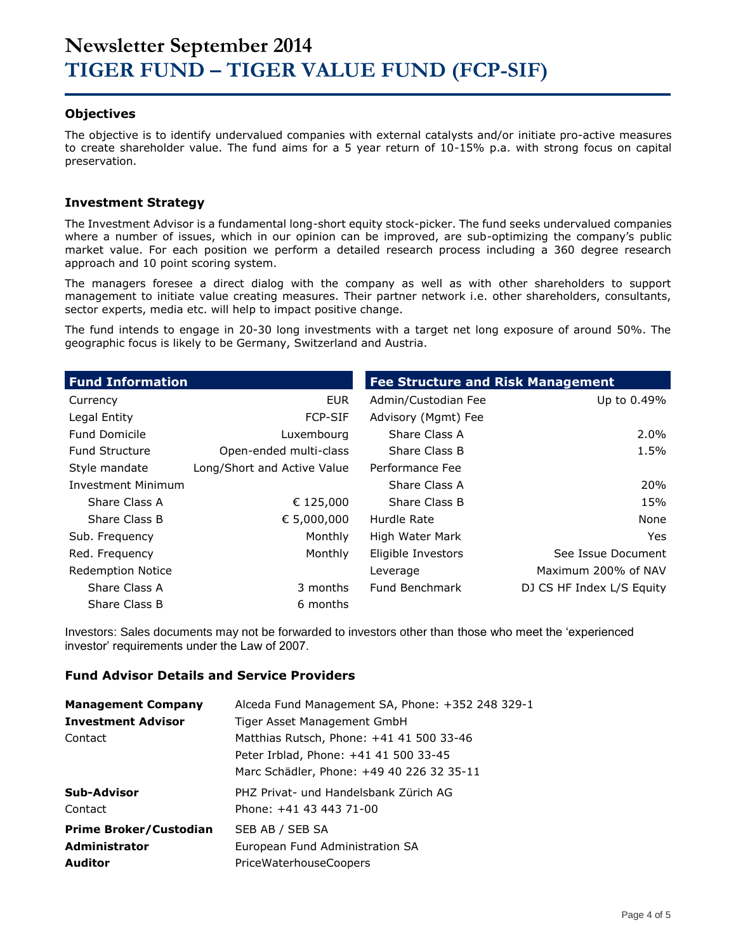#### **Objectives**

The objective is to identify undervalued companies with external catalysts and/or initiate pro-active measures to create shareholder value. The fund aims for a 5 year return of 10-15% p.a. with strong focus on capital preservation.

#### **Investment Strategy**

The Investment Advisor is a fundamental long-short equity stock-picker. The fund seeks undervalued companies where a number of issues, which in our opinion can be improved, are sub-optimizing the company's public market value. For each position we perform a detailed research process including a 360 degree research approach and 10 point scoring system.

The managers foresee a direct dialog with the company as well as with other shareholders to support management to initiate value creating measures. Their partner network i.e. other shareholders, consultants, sector experts, media etc. will help to impact positive change.

The fund intends to engage in 20-30 long investments with a target net long exposure of around 50%. The geographic focus is likely to be Germany, Switzerland and Austria.

| <b>Fund Information</b>   |                             | <b>Fee Structure and Risk Management</b> |                           |
|---------------------------|-----------------------------|------------------------------------------|---------------------------|
| Currency                  | <b>EUR</b>                  | Admin/Custodian Fee                      | Up to 0.49%               |
| Legal Entity              | <b>FCP-SIF</b>              | Advisory (Mgmt) Fee                      |                           |
| <b>Fund Domicile</b>      | Luxembourg                  | Share Class A                            | $2.0\%$                   |
| <b>Fund Structure</b>     | Open-ended multi-class      | Share Class B                            | 1.5%                      |
| Style mandate             | Long/Short and Active Value | Performance Fee                          |                           |
| <b>Investment Minimum</b> |                             | Share Class A                            | 20%                       |
| Share Class A             | € 125,000                   | Share Class B                            | 15%                       |
| Share Class B             | € 5,000,000                 | Hurdle Rate                              | None                      |
| Sub. Frequency            | Monthly                     | High Water Mark                          | <b>Yes</b>                |
| Red. Frequency            | Monthly                     | Eligible Investors                       | See Issue Document        |
| <b>Redemption Notice</b>  |                             | Leverage                                 | Maximum 200% of NAV       |
| Share Class A             | 3 months                    | Fund Benchmark                           | DJ CS HF Index L/S Equity |
| Share Class B             | 6 months                    |                                          |                           |

Investors: Sales documents may not be forwarded to investors other than those who meet the 'experienced investor' requirements under the Law of 2007.

#### **Fund Advisor Details and Service Providers**

| <b>Management Company</b>     | Alceda Fund Management SA, Phone: +352 248 329-1 |
|-------------------------------|--------------------------------------------------|
| <b>Investment Advisor</b>     | Tiger Asset Management GmbH                      |
| Contact                       | Matthias Rutsch, Phone: +41 41 500 33-46         |
|                               | Peter Irblad, Phone: +41 41 500 33-45            |
|                               | Marc Schädler, Phone: +49 40 226 32 35-11        |
| Sub-Advisor                   | PHZ Privat- und Handelsbank Zürich AG            |
| Contact                       | Phone: +41 43 443 71-00                          |
| <b>Prime Broker/Custodian</b> | SEB AB / SEB SA                                  |
| <b>Administrator</b>          | European Fund Administration SA                  |
| <b>Auditor</b>                | <b>PriceWaterhouseCoopers</b>                    |